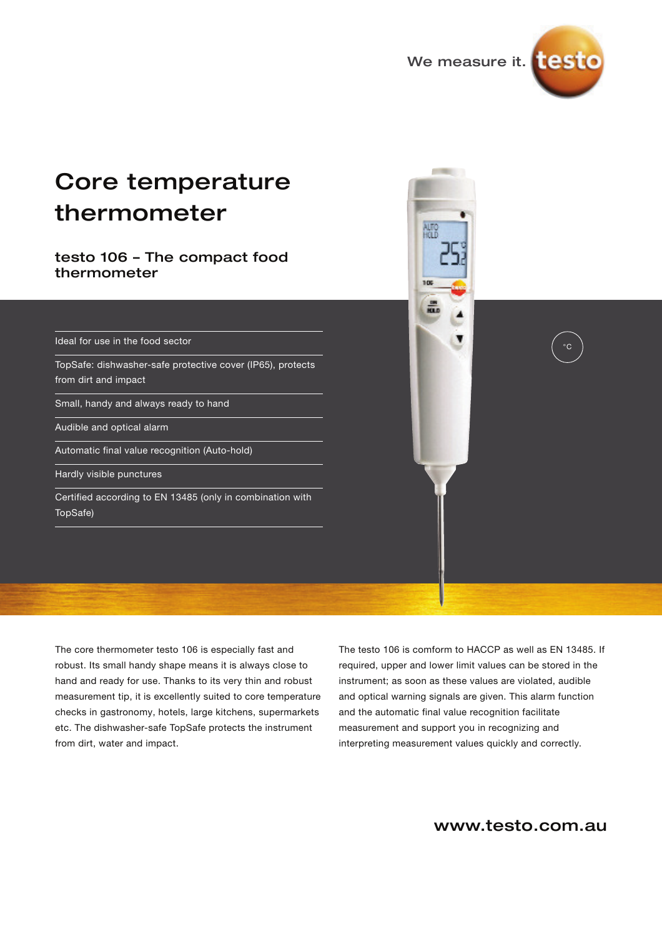

 $^{\circ}C$ 

# Core temperature thermometer

### testo 106 – The compact food thermometer

Ideal for use in the food sector

TopSafe: dishwasher-safe protective cover (IP65), protects from dirt and impact

Small, handy and always ready to hand

Audible and optical alarm

Automatic final value recognition (Auto-hold)

Hardly visible punctures

Certified according to EN 13485 (only in combination with TopSafe)

The core thermometer testo 106 is especially fast and robust. Its small handy shape means it is always close to hand and ready for use. Thanks to its very thin and robust measurement tip, it is excellently suited to core temperature checks in gastronomy, hotels, large kitchens, supermarkets etc. The dishwasher-safe TopSafe protects the instrument from dirt, water and impact.

The testo 106 is comform to HACCP as well as EN 13485. If required, upper and lower limit values can be stored in the instrument; as soon as these values are violated, audible and optical warning signals are given. This alarm function and the automatic final value recognition facilitate measurement and support you in recognizing and interpreting measurement values quickly and correctly.

109

## www.testo.com.au